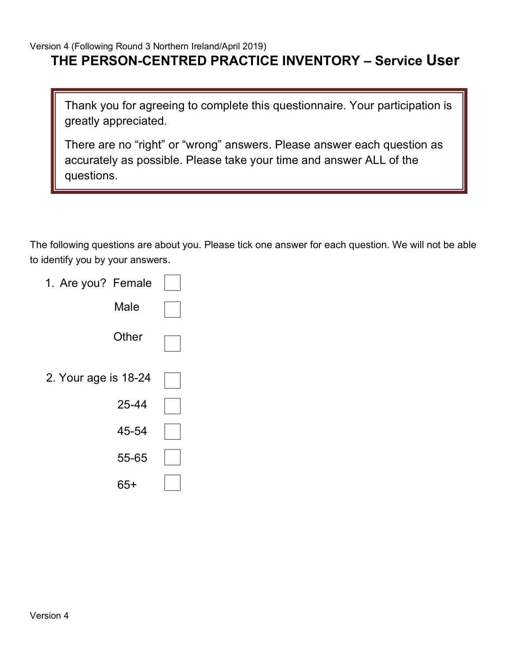## **THE PERSON-CENTRED PRACTICE INVENTORY – Service User**

Thank you for agreeing to complete this questionnaire. Your participation is greatly appreciated.

There are no "right" or "wrong" answers. Please answer each question as accurately as possible. Please take your time and answer ALL of the questions.

The following questions are about you. Please tick one answer for each question. We will not be able to identify you by your answers.

| 1. Are you? Female   |  |
|----------------------|--|
| Male                 |  |
| Other                |  |
| 2. Your age is 18-24 |  |
| 25-44                |  |
| 45-54                |  |
| 55-65                |  |
| 65+                  |  |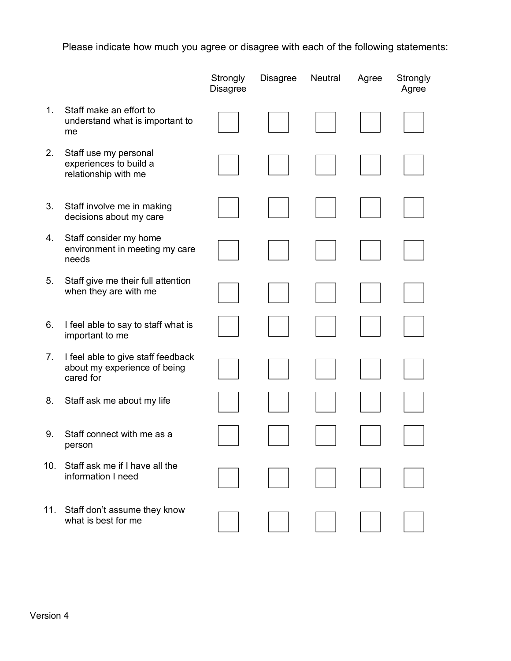Please indicate how much you agree or disagree with each of the following statements:

|     |                                                                                 | Strongly<br><b>Disagree</b> | <b>Disagree</b> | Neutral | Agree | Strongly<br>Agree |
|-----|---------------------------------------------------------------------------------|-----------------------------|-----------------|---------|-------|-------------------|
| 1.  | Staff make an effort to<br>understand what is important to<br>me                |                             |                 |         |       |                   |
| 2.  | Staff use my personal<br>experiences to build a<br>relationship with me         |                             |                 |         |       |                   |
| 3.  | Staff involve me in making<br>decisions about my care                           |                             |                 |         |       |                   |
| 4.  | Staff consider my home<br>environment in meeting my care<br>needs               |                             |                 |         |       |                   |
| 5.  | Staff give me their full attention<br>when they are with me                     |                             |                 |         |       |                   |
| 6.  | I feel able to say to staff what is<br>important to me                          |                             |                 |         |       |                   |
| 7.  | I feel able to give staff feedback<br>about my experience of being<br>cared for |                             |                 |         |       |                   |
| 8.  | Staff ask me about my life                                                      |                             |                 |         |       |                   |
| 9.  | Staff connect with me as a<br>person                                            |                             |                 |         |       |                   |
| 10. | Staff ask me if I have all the<br>information I need                            |                             |                 |         |       |                   |
| 11. | Staff don't assume they know<br>what is best for me                             |                             |                 |         |       |                   |